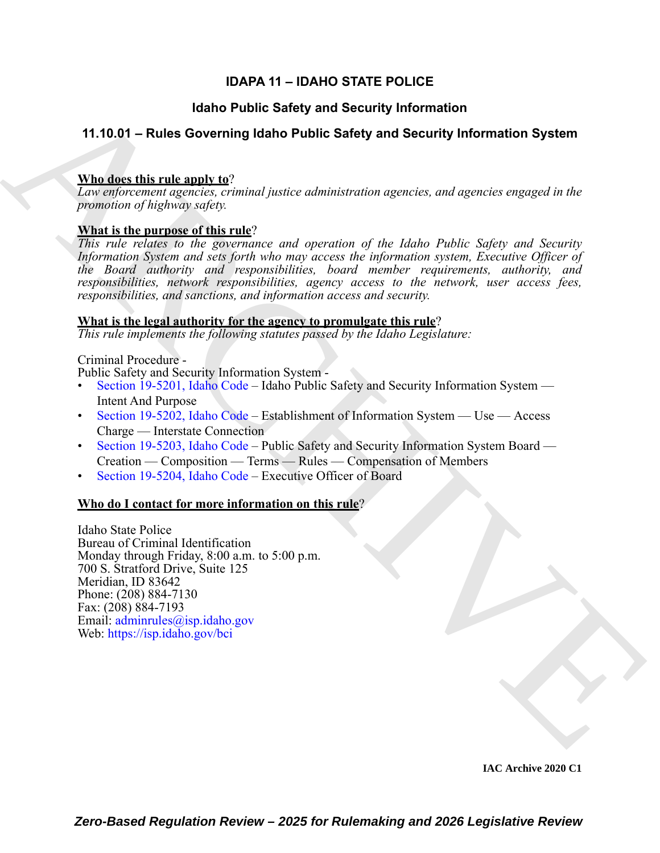# **IDAPA 11 – IDAHO STATE POLICE**

# **Idaho Public Safety and Security Information**

# **11.10.01 – Rules Governing Idaho Public Safety and Security Information System**

# **Who does this rule apply to**?

*Law enforcement agencies, criminal justice administration agencies, and agencies engaged in the promotion of highway safety.*

# **What is the purpose of this rule**?

**ISIno Public Safety and Security Information System**<br> **AR[C](https://legislature.idaho.gov/statutesrules/idstat/Title19/T19CH52/SECT19-5202/)HI[VE](mailto: adminrules@isp.idaho.gov) Safety and Security Information System**<br> **Victorian Safety and Security Information System**<br> **Victor** distribution of the straight of the purpose of this ran *This rule relates to the governance and operation of the Idaho Public Safety and Security Information System and sets forth who may access the information system, Executive Officer of the Board authority and responsibilities, board member requirements, authority, and responsibilities, network responsibilities, agency access to the network, user access fees, responsibilities, and sanctions, and information access and security.*

# **What is the legal authority for the agency to promulgate this rule**?

*This rule implements the following statutes passed by the Idaho Legislature:*

# Criminal Procedure -

Public Safety and Security Information System -

- Section 19-5201, Idaho Code Idaho Public Safety and Security Information System Intent And Purpose
- Section 19-5202, Idaho Code Establishment of Information System Use Access Charge — Interstate Connection
- Section 19-5203, Idaho Code Public Safety and Security Information System Board Creation — Composition — Terms — Rules — Compensation of Members
- Section 19-5204, Idaho Code Executive Officer of Board

# **Who do I contact for more information on this rule**?

Idaho State Police Bureau of Criminal Identification Monday through Friday, 8:00 a.m. to 5:00 p.m. 700 S. Stratford Drive, Suite 125 Meridian, ID 83642 Phone: (208) 884-7130 Fax: (208) 884-7193 Email: adminrules@isp.idaho.gov Web: https://isp.idaho.gov/bci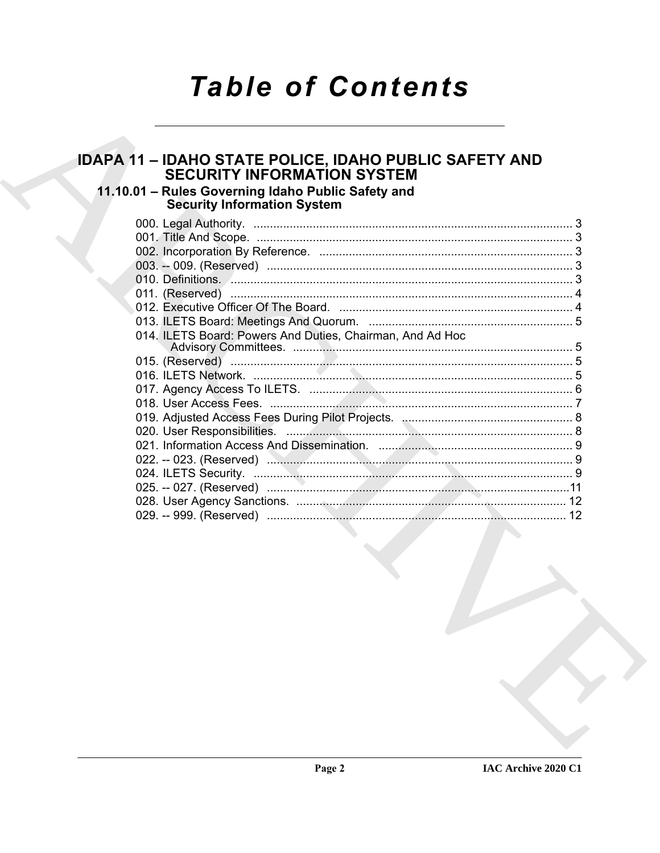# **Table of Contents**

# **IDAPA 11 - IDAHO STATE POLICE, IDAHO PUBLIC SAFETY AND SECURITY INFORMATION SYSTEM** 11.10.01 - Rules Governing Idaho Public Safety and **Security Information System** 014. ILETS Board: Powers And Duties, Chairman, And Ad Hoc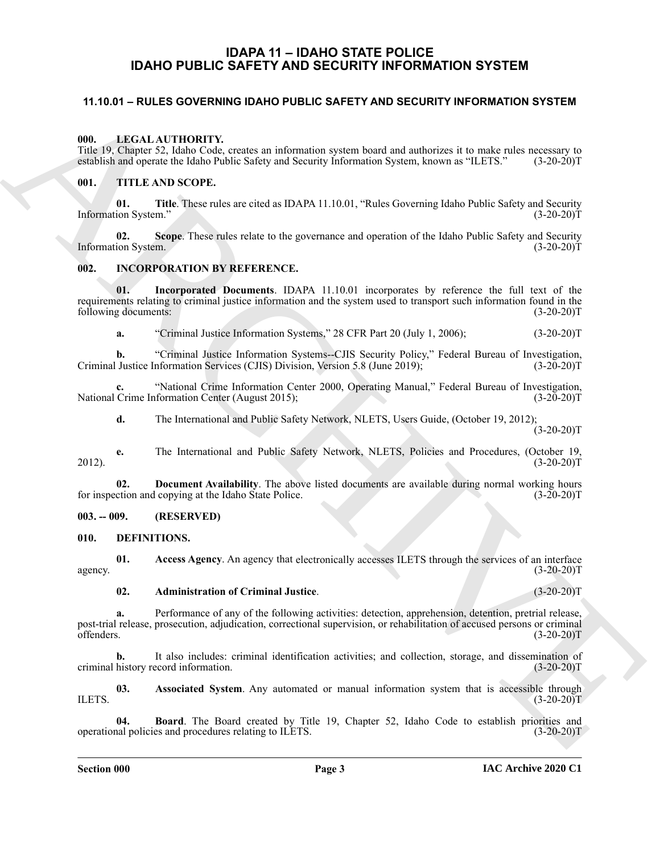# **IDAPA 11 – IDAHO STATE POLICE IDAHO PUBLIC SAFETY AND SECURITY INFORMATION SYSTEM**

### <span id="page-2-1"></span><span id="page-2-0"></span>**11.10.01 – RULES GOVERNING IDAHO PUBLIC SAFETY AND SECURITY INFORMATION SYSTEM**

#### <span id="page-2-13"></span><span id="page-2-2"></span>**000. LEGAL AUTHORITY.**

Title 19, Chapter 52, Idaho Code, creates an information system board and authorizes it to make rules necessary to establish and operate the Idaho Public Safety and Security Information System, known as "ILETS." (3-20-20)T

#### <span id="page-2-14"></span><span id="page-2-3"></span>**001. TITLE AND SCOPE.**

**01.** Title. These rules are cited as IDAPA 11.10.01, "Rules Governing Idaho Public Safety and Security ion System." (3-20-20) Information System."

**02.** Scope. These rules relate to the governance and operation of the Idaho Public Safety and Security ion System. (3-20-20)T Information System.

#### <span id="page-2-12"></span><span id="page-2-4"></span>**002. INCORPORATION BY REFERENCE.**

11.10.01 - RULES GOVERNING IDAHO PUBLIC SAFETY AND SECURITY INFORMATION SYSTEM<br>
ARCHIVER VITTIORITY.<br>
THE LIGHER ARCHIVERY ARCHIVER IN THE SECOND INTERNATIONAL STATE IS the CHARGE CONTINUES.<br>
THE ARCHIVER STATE STATE STAT **01. Incorporated Documents**. IDAPA 11.10.01 incorporates by reference the full text of the requirements relating to criminal justice information and the system used to transport such information found in the following documents: (3-20-20)T

**a.** "Criminal Justice Information Systems," 28 CFR Part 20 (July 1, 2006); (3-20-20)T

**b.** "Criminal Justice Information Systems--CJIS Security Policy," Federal Bureau of Investigation, Justice Information Services (CJIS) Division, Version 5.8 (June 2019); (3-20-20)T Criminal Justice Information Services (CJIS) Division, Version 5.8 (June 2019);

**c.** "National Crime Information Center 2000, Operating Manual," Federal Bureau of Investigation, National Crime Information Center (August 2015);

**d.** The International and Public Safety Network, NLETS, Users Guide, (October 19, 2012);  $(3-20-20)T$ 

**e.** The International and Public Safety Network, NLETS, Policies and Procedures, (October 19, 2012). (3-20-20)T

**02.** Document Availability. The above listed documents are available during normal working hours ction and copying at the Idaho State Police. (3-20-20) for inspection and copying at the Idaho State Police.

<span id="page-2-5"></span>**003. -- 009. (RESERVED)**

<span id="page-2-7"></span><span id="page-2-6"></span>**010. DEFINITIONS.**

**01.** Access Agency. An agency that electronically accesses ILETS through the services of an interface (3-20-20)T agency.  $(3-20-20)T$ 

#### <span id="page-2-9"></span><span id="page-2-8"></span>**02. Administration of Criminal Justice**. (3-20-20)T

**a.** Performance of any of the following activities: detection, apprehension, detention, pretrial release, post-trial release, prosecution, adjudication, correctional supervision, or rehabilitation of accused persons or criminal offenders. (3-20-20)T offenders. (3-20-20)T

**b.** It also includes: criminal identification activities; and collection, storage, and dissemination of criminal history record information. (3-20-20)T

<span id="page-2-10"></span>**03.** Associated System. Any automated or manual information system that is accessible through  $(3-20-20)T$ ILETS.  $(3-20-20)$ T

<span id="page-2-11"></span>**04. Board**. The Board created by Title 19, Chapter 52, Idaho Code to establish priorities and procedures relating to ILETS. (3-20-20) operational policies and procedures relating to ILETS.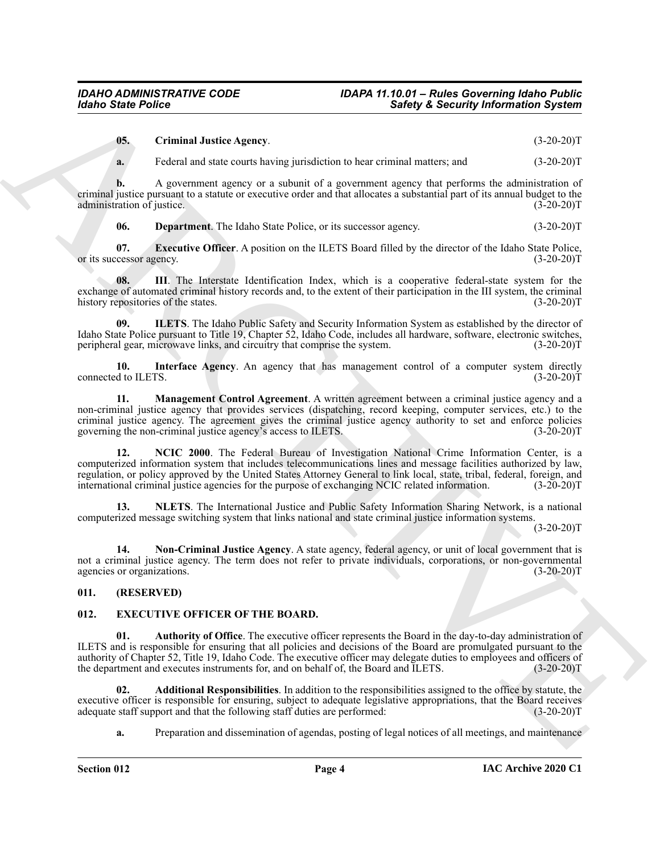<span id="page-3-2"></span>**05. Criminal Justice Agency**. (3-20-20)T

**a.** Federal and state courts having jurisdiction to hear criminal matters; and  $(3-20-20)T$ 

**b.** A government agency or a subunit of a government agency that performs the administration of criminal justice pursuant to a statute or executive order and that allocates a substantial part of its annual budget to the administration of justice.

<span id="page-3-5"></span><span id="page-3-4"></span><span id="page-3-3"></span>**06. Department**. The Idaho State Police, or its successor agency. (3-20-20)T

**07. Executive Officer**. A position on the ILETS Board filled by the director of the Idaho State Police, (3-20-20)T or its successor agency.

**08. III**. The Interstate Identification Index, which is a cooperative federal-state system for the exchange of automated criminal history records and, to the extent of their participation in the III system, the criminal history repositories of the states. (3-20-20) history repositories of the states.

<span id="page-3-6"></span>**09. ILETS**. The Idaho Public Safety and Security Information System as established by the director of Idaho State Police pursuant to Title 19, Chapter 52, Idaho Code, includes all hardware, software, electronic switches, peripheral gear, microwave links, and circuitry that comprise the system. (3-20-20)T

<span id="page-3-7"></span>**10. Interface Agency**. An agency that has management control of a computer system directly connected to ILETS. (3-20-20)T

<span id="page-3-9"></span><span id="page-3-8"></span>**11. Management Control Agreement**. A written agreement between a criminal justice agency and a non-criminal justice agency that provides services (dispatching, record keeping, computer services, etc.) to the criminal justice agency. The agreement gives the criminal justice agency authority to set and enforce policies governing the non-criminal justice agency's access to ILETS. (3-20-20)T

Surfay Since Poince<br>
USE: Committed Anti-Assem, particular to be received a strong formulation System (1982-2017)<br>
4. Extending Surface Agency ... a strong but the strong but the committee and the strong of the strong and **12. NCIC 2000**. The Federal Bureau of Investigation National Crime Information Center, is a computerized information system that includes telecommunications lines and message facilities authorized by law, regulation, or policy approved by the United States Attorney General to link local, state, tribal, federal, foreign, and international criminal justice agencies for the purpose of exchanging NCIC related information. (3-20-20)T

<span id="page-3-10"></span>**13. NLETS**. The International Justice and Public Safety Information Sharing Network, is a national computerized message switching system that links national and state criminal justice information systems.

 $(3-20-20)T$ 

<span id="page-3-11"></span>14. Non-Criminal Justice Agency. A state agency, federal agency, or unit of local government that is not a criminal justice agency. The term does not refer to private individuals, corporations, or non-governmental agencies or organizations. (3-20-20)T

#### <span id="page-3-0"></span>**011. (RESERVED)**

#### <span id="page-3-12"></span><span id="page-3-1"></span>**012. EXECUTIVE OFFICER OF THE BOARD.**

<span id="page-3-14"></span>**01. Authority of Office**. The executive officer represents the Board in the day-to-day administration of ILETS and is responsible for ensuring that all policies and decisions of the Board are promulgated pursuant to the authority of Chapter 52, Title 19, Idaho Code. The executive officer may delegate duties to employees and officers of the department and executes instruments for, and on behalf of, the Board and ILETS. (3-20-20)T

**02. Additional Responsibilities**. In addition to the responsibilities assigned to the office by statute, the executive officer is responsible for ensuring, subject to adequate legislative appropriations, that the Board receives adequate staff support and that the following staff duties are performed: (3-20-20) adequate staff support and that the following staff duties are performed:

<span id="page-3-13"></span>**a.** Preparation and dissemination of agendas, posting of legal notices of all meetings, and maintenance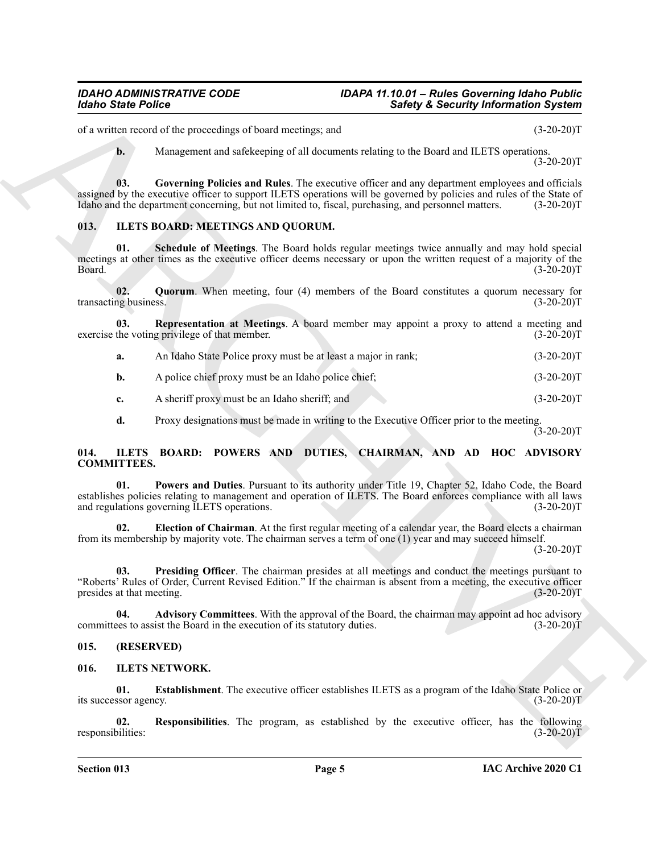#### *IDAHO ADMINISTRATIVE CODE IDAPA 11.10.01 – Rules Governing Idaho Public Safety & Security Information System*

of a written record of the proceedings of board meetings; and (3-20-20)T

<span id="page-4-4"></span>**b.** Management and safekeeping of all documents relating to the Board and ILETS operations.  $(3-20-20)T$ 

**03. Governing Policies and Rules**. The executive officer and any department employees and officials assigned by the executive officer to support ILETS operations will be governed by policies and rules of the State of Idaho and the department concerning, but not limited to, fiscal, purchasing, and personnel matters. (3-20-20)T

### <span id="page-4-8"></span><span id="page-4-5"></span><span id="page-4-0"></span>**013. ILETS BOARD: MEETINGS AND QUORUM.**

**Exhibit Points**<br>
We are not overlaps to the system of the system of the system of the system of the system of the system of the system of the system of the system of the system of the system of the system of the system **01. Schedule of Meetings**. The Board holds regular meetings twice annually and may hold special meetings at other times as the executive officer deems necessary or upon the written request of a majority of the Board. (3-20-20)T

<span id="page-4-6"></span>**02.** Quorum. When meeting, four (4) members of the Board constitutes a quorum necessary for ng business. (3-20-20) transacting business.

**03. Representation at Meetings**. A board member may appoint a proxy to attend a meeting and the voting privilege of that member. (3-20-20) exercise the voting privilege of that member.

<span id="page-4-7"></span>

| а. | An Idaho State Police proxy must be at least a major in rank: | $(3-20-20)T$ |
|----|---------------------------------------------------------------|--------------|
|----|---------------------------------------------------------------|--------------|

- **b.** A police chief proxy must be an Idaho police chief; (3-20-20)T
- **c.** A sheriff proxy must be an Idaho sheriff; and (3-20-20)T

<span id="page-4-12"></span><span id="page-4-9"></span>**d.** Proxy designations must be made in writing to the Executive Officer prior to the meeting.

 $(3-20-20)$ T

#### <span id="page-4-1"></span>**014. ILETS BOARD: POWERS AND DUTIES, CHAIRMAN, AND AD HOC ADVISORY COMMITTEES.**

**01. Powers and Duties**. Pursuant to its authority under Title 19, Chapter 52, Idaho Code, the Board establishes policies relating to management and operation of ILETS. The Board enforces compliance with all laws and regulations governing ILETS operations. (3-20-20)T

<span id="page-4-11"></span>**02. Election of Chairman**. At the first regular meeting of a calendar year, the Board elects a chairman from its membership by majority vote. The chairman serves a term of one (1) year and may succeed himself.

 $(3-20-20)T$ 

<span id="page-4-13"></span>**03. Presiding Officer**. The chairman presides at all meetings and conduct the meetings pursuant to "Roberts' Rules of Order, Current Revised Edition." If the chairman is absent from a meeting, the executive officer presides at that meeting.

<span id="page-4-10"></span>**04. Advisory Committees**. With the approval of the Board, the chairman may appoint ad hoc advisory committees to assist the Board in the execution of its statutory duties. (3-20-20)T

#### <span id="page-4-2"></span>**015. (RESERVED)**

#### <span id="page-4-14"></span><span id="page-4-3"></span>**016. ILETS NETWORK.**

<span id="page-4-15"></span>**01. Establishment**. The executive officer establishes ILETS as a program of the Idaho State Police or its successor agency. (3-20-20)T

<span id="page-4-16"></span>**02. Responsibilities**. The program, as established by the executive officer, has the following responsibilities: (3-20-20)T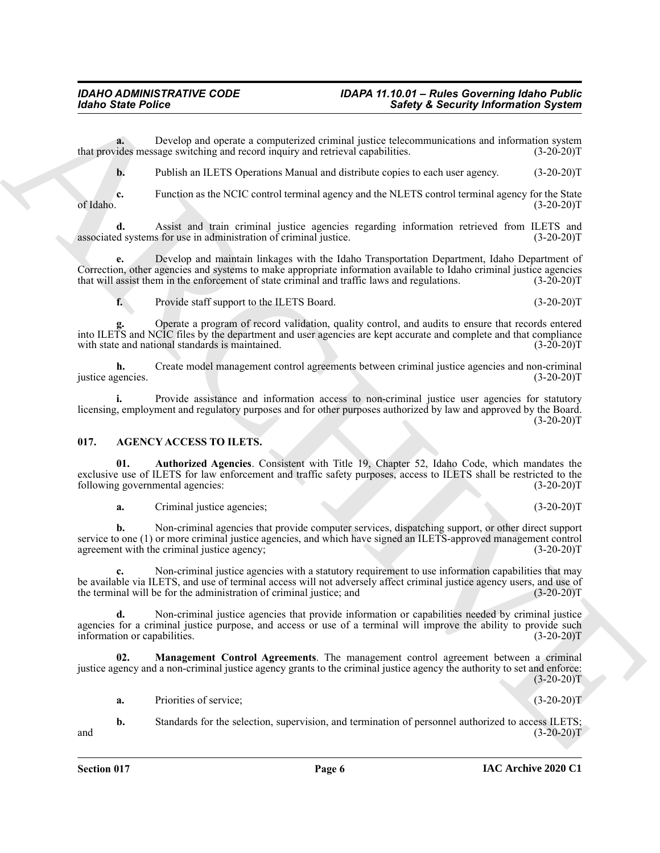#### *IDAHO ADMINISTRATIVE CODE IDAPA 11.10.01 – Rules Governing Idaho Public Safety & Security Information System*

**a.** Develop and operate a computerized criminal justice telecommunications and information system that provides message switching and record inquiry and retrieval capabilities. (3-20-20)T

**b.** Publish an ILETS Operations Manual and distribute copies to each user agency. (3-20-20)T

**c.** Function as the NCIC control terminal agency and the NLETS control terminal agency for the State (3-20-20)T of Idaho.  $(3-20-20)T$ 

**d.** Assist and train criminal justice agencies regarding information retrieved from ILETS and d systems for use in administration of criminal justice. (3-20-20) associated systems for use in administration of criminal justice.

Since Poise<br>
Since Poise<br>
Dental strengthend continues and continues and continues and continues are continues and a<br>
material of the since Poise Continues and the continues are continues and the since Continues and the C **e.** Develop and maintain linkages with the Idaho Transportation Department, Idaho Department of Correction, other agencies and systems to make appropriate information available to Idaho criminal justice agencies that will assist them in the enforcement of state criminal and traffic laws and regulations. (3-20-20)T

**f.** Provide staff support to the ILETS Board. (3-20-20)T

**g.** Operate a program of record validation, quality control, and audits to ensure that records entered into ILETS and NCIC files by the department and user agencies are kept accurate and complete and that compliance with state and national standards is maintained. (3-20-20)T

**h.** Create model management control agreements between criminal justice agencies and non-criminal justice agencies. (3-20-20)T

**i.** Provide assistance and information access to non-criminal justice user agencies for statutory licensing, employment and regulatory purposes and for other purposes authorized by law and approved by the Board.  $(3-20-20)T$ 

### <span id="page-5-1"></span><span id="page-5-0"></span>**017. AGENCY ACCESS TO ILETS.**

**01. Authorized Agencies**. Consistent with Title 19, Chapter 52, Idaho Code, which mandates the exclusive use of ILETS for law enforcement and traffic safety purposes, access to ILETS shall be restricted to the following governmental agencies: (3-20-20)T

<span id="page-5-2"></span>**a.** Criminal justice agencies; (3-20-20)T

**b.** Non-criminal agencies that provide computer services, dispatching support, or other direct support service to one (1) or more criminal justice agencies, and which have signed an ILETS-approved management control agreement with the criminal justice agency; agreement with the criminal justice agency;

**c.** Non-criminal justice agencies with a statutory requirement to use information capabilities that may be available via ILETS, and use of terminal access will not adversely affect criminal justice agency users, and use of the terminal will be for the administration of criminal justice; and (3-20-20) the terminal will be for the administration of criminal justice; and

**d.** Non-criminal justice agencies that provide information or capabilities needed by criminal justice agencies for a criminal justice purpose, and access or use of a terminal will improve the ability to provide such information or capabilities. (3-20-20)T

**02. Management Control Agreements**. The management control agreement between a criminal justice agency and a non-criminal justice agency grants to the criminal justice agency the authority to set and enforce:  $(3-20-20)T$ 

<span id="page-5-3"></span>**a.** Priorities of service; (3-20-20)T

**b.** Standards for the selection, supervision, and termination of personnel authorized to access ILETS; and (3-20-20)T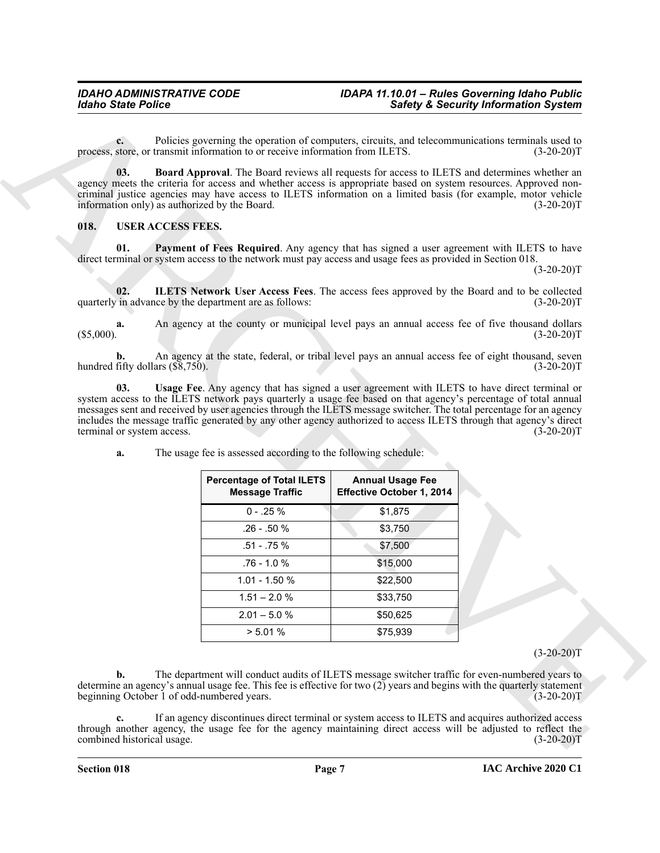#### <span id="page-6-5"></span><span id="page-6-4"></span><span id="page-6-3"></span><span id="page-6-2"></span><span id="page-6-1"></span><span id="page-6-0"></span>**018. USER ACCESS FEES.**

| <b>Idaho State Police</b>                                     |                                                                                                                                                                                                                                                                                                                                                                          |                                                      | <b>Safety &amp; Security Information System</b>                                                                                          |
|---------------------------------------------------------------|--------------------------------------------------------------------------------------------------------------------------------------------------------------------------------------------------------------------------------------------------------------------------------------------------------------------------------------------------------------------------|------------------------------------------------------|------------------------------------------------------------------------------------------------------------------------------------------|
| $c_{\cdot}$                                                   | Policies governing the operation of computers, circuits, and telecommunications terminals used to<br>process, store, or transmit information to or receive information from ILETS.                                                                                                                                                                                       |                                                      | $(3-20-20)T$                                                                                                                             |
| 03.<br>information only) as authorized by the Board.          | <b>Board Approval.</b> The Board reviews all requests for access to ILETS and determines whether an<br>agency meets the criteria for access and whether access is appropriate based on system resources. Approved non-<br>criminal justice agencies may have access to ILETS information on a limited basis (for example, motor vehicle                                  |                                                      | $(3-20-20)T$                                                                                                                             |
| <b>USER ACCESS FEES.</b><br>018.                              |                                                                                                                                                                                                                                                                                                                                                                          |                                                      |                                                                                                                                          |
| 01.                                                           | Payment of Fees Required. Any agency that has signed a user agreement with ILETS to have<br>direct terminal or system access to the network must pay access and usage fees as provided in Section 018.                                                                                                                                                                   |                                                      | $(3-20-20)T$                                                                                                                             |
| 02.<br>quarterly in advance by the department are as follows: | <b>ILETS Network User Access Fees.</b> The access fees approved by the Board and to be collected                                                                                                                                                                                                                                                                         |                                                      | $(3-20-20)T$                                                                                                                             |
| a.<br>$(\$5,000).$                                            | An agency at the county or municipal level pays an annual access fee of five thousand dollars                                                                                                                                                                                                                                                                            |                                                      | $(3-20-20)T$                                                                                                                             |
| b.<br>hundred fifty dollars $(\overline{\$8},750)$ .          | An agency at the state, federal, or tribal level pays an annual access fee of eight thousand, seven                                                                                                                                                                                                                                                                      |                                                      | $(3-20-20)T$                                                                                                                             |
| terminal or system access.<br>a.                              | messages sent and received by user agencies through the ILETS message switcher. The total percentage for an agency<br>includes the message traffic generated by any other agency authorized to access ILETS through that agency's direct<br>The usage fee is assessed according to the following schedule:<br><b>Percentage of Total ILETS</b><br><b>Message Traffic</b> | <b>Annual Usage Fee</b><br>Effective October 1, 2014 | $(3-20-20)T$                                                                                                                             |
|                                                               | $0 - .25%$                                                                                                                                                                                                                                                                                                                                                               | \$1,875                                              |                                                                                                                                          |
|                                                               | .26 - .50 %                                                                                                                                                                                                                                                                                                                                                              | \$3,750                                              |                                                                                                                                          |
|                                                               | .51 - .75 %                                                                                                                                                                                                                                                                                                                                                              | \$7,500                                              |                                                                                                                                          |
|                                                               | .76 - 1.0 %                                                                                                                                                                                                                                                                                                                                                              | \$15,000                                             |                                                                                                                                          |
|                                                               | 1.01 - 1.50 %                                                                                                                                                                                                                                                                                                                                                            | \$22,500                                             |                                                                                                                                          |
|                                                               | $1.51 - 2.0 %$                                                                                                                                                                                                                                                                                                                                                           | \$33,750                                             |                                                                                                                                          |
|                                                               | $2.01 - 5.0 %$                                                                                                                                                                                                                                                                                                                                                           | \$50,625                                             |                                                                                                                                          |
|                                                               | > 5.01 %                                                                                                                                                                                                                                                                                                                                                                 | \$75,939                                             |                                                                                                                                          |
|                                                               |                                                                                                                                                                                                                                                                                                                                                                          |                                                      | $(3-20-20)T$                                                                                                                             |
| $\mathbf{b}$ .                                                | The department will conduct audits of ILETS message switcher traffic for even-numbered years to                                                                                                                                                                                                                                                                          |                                                      |                                                                                                                                          |
| beginning October 1 of odd-numbered years.                    |                                                                                                                                                                                                                                                                                                                                                                          |                                                      | determine an agency's annual usage fee. This fee is effective for two (2) years and begins with the quarterly statement<br>$(3-20-20)$ T |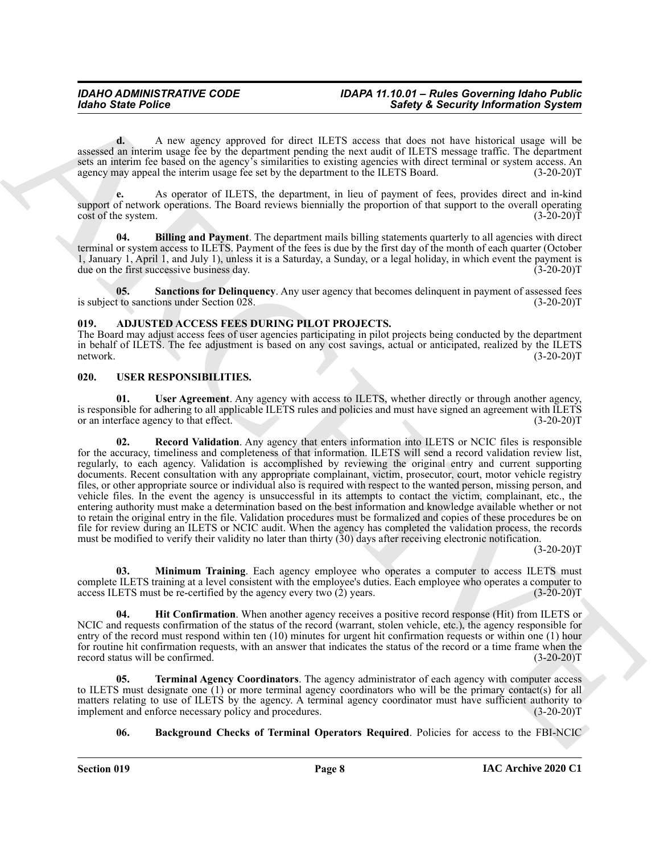**d.** A new agency approved for direct ILETS access that does not have historical usage will be assessed an interim usage fee by the department pending the next audit of ILETS message traffic. The department sets an interim fee based on the agency's similarities to existing agencies with direct terminal or system access. An agency may appeal the interim usage fee set by the department to the ILETS Board. (3-20-20)T

**e.** As operator of ILETS, the department, in lieu of payment of fees, provides direct and in-kind support of network operations. The Board reviews biennially the proportion of that support to the overall operating cost of the system. (3-20-20)T

<span id="page-7-3"></span>**04.** Billing and Payment. The department mails billing statements quarterly to all agencies with direct terminal or system access to ILETS. Payment of the fees is due by the first day of the month of each quarter (October 1, January 1, April 1, and July 1), unless it is a Saturday, a Sunday, or a legal holiday, in which event the payment is due on the first successive business day. (3-20-20)T

<span id="page-7-4"></span>**05.** Sanctions for Delinquency. Any user agency that becomes delinquent in payment of assessed fees t to sanctions under Section 028. (3-20-20) is subject to sanctions under Section  $028$ .

#### <span id="page-7-2"></span><span id="page-7-0"></span>**019. ADJUSTED ACCESS FEES DURING PILOT PROJECTS.**

The Board may adjust access fees of user agencies participating in pilot projects being conducted by the department in behalf of ILETS. The fee adjustment is based on any cost savings, actual or anticipated, realized by the ILETS network. (3-20-20) network. (3-20-20)T

#### <span id="page-7-5"></span><span id="page-7-1"></span>**020. USER RESPONSIBILITIES.**

<span id="page-7-11"></span><span id="page-7-9"></span>**01. User Agreement**. Any agency with access to ILETS, whether directly or through another agency, is responsible for adhering to all applicable ILETS rules and policies and must have signed an agreement with ILETS<br>or an interface agency to that effect. or an interface agency to that effect.

Solvey & Society & Society & Society & Society & Society & Society Motomatics System<br>
search as the many respect to the system of the system and the system and the system and the system and the system and the system and t **02. Record Validation**. Any agency that enters information into ILETS or NCIC files is responsible for the accuracy, timeliness and completeness of that information. ILETS will send a record validation review list, regularly, to each agency. Validation is accomplished by reviewing the original entry and current supporting documents. Recent consultation with any appropriate complainant, victim, prosecutor, court, motor vehicle registry files, or other appropriate source or individual also is required with respect to the wanted person, missing person, and vehicle files. In the event the agency is unsuccessful in its attempts to contact the victim, complainant, etc., the entering authority must make a determination based on the best information and knowledge available whether or not to retain the original entry in the file. Validation procedures must be formalized and copies of these procedures be on file for review during an ILETS or NCIC audit. When the agency has completed the validation process, the records must be modified to verify their validity no later than thirty (30) days after receiving electronic notification.

 $(3-20-20)T$ 

<span id="page-7-8"></span>**03. Minimum Training**. Each agency employee who operates a computer to access ILETS must complete ILETS training at a level consistent with the employee's duties. Each employee who operates a computer to access ILETS must be re-certified by the agency every two (2) years. (3-20-20) access ILETS must be re-certified by the agency every two  $(2)$  years.

<span id="page-7-7"></span>**04.** Hit Confirmation. When another agency receives a positive record response (Hit) from ILETS or NCIC and requests confirmation of the status of the record (warrant, stolen vehicle, etc.), the agency responsible for entry of the record must respond within ten (10) minutes for urgent hit confirmation requests or within one (1) hour for routine hit confirmation requests, with an answer that indicates the status of the record or a time frame when the record status will be confirmed. (3-20-20)T record status will be confirmed.

**05. Terminal Agency Coordinators**. The agency administrator of each agency with computer access to ILETS must designate one (1) or more terminal agency coordinators who will be the primary contact(s) for all matters relating to use of ILETS by the agency. A terminal agency coordinator must have sufficient authority to implement and enforce necessary policy and procedures. (3-20-20) implement and enforce necessary policy and procedures.

<span id="page-7-10"></span><span id="page-7-6"></span>**06. Background Checks of Terminal Operators Required**. Policies for access to the FBI-NCIC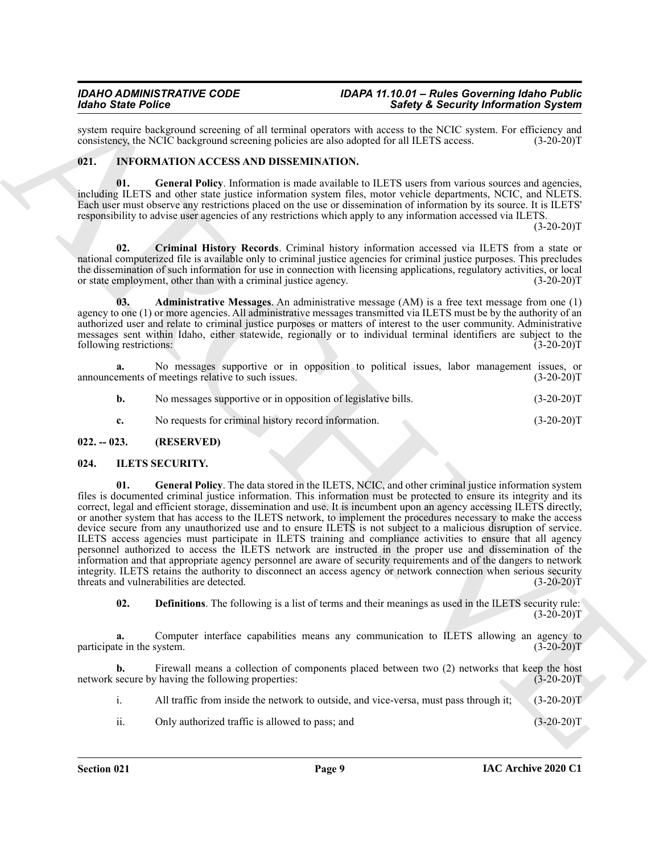system require background screening of all terminal operators with access to the NCIC system. For efficiency and consistency, the NCIC background screening policies are also adopted for all ILETS access. (3-20-20)T consistency, the NCIC background screening policies are also adopted for all ILETS access.

#### <span id="page-8-9"></span><span id="page-8-6"></span><span id="page-8-0"></span>**021. INFORMATION ACCESS AND DISSEMINATION.**

**01. General Policy**. Information is made available to ILETS users from various sources and agencies, including ILETS and other state justice information system files, motor vehicle departments, NCIC, and NLETS. Each user must observe any restrictions placed on the use or dissemination of information by its source. It is ILETS' responsibility to advise user agencies of any restrictions which apply to any information accessed via ILETS.

 $(3-20-20)T$ 

<span id="page-8-8"></span>**02. Criminal History Records**. Criminal history information accessed via ILETS from a state or national computerized file is available only to criminal justice agencies for criminal justice purposes. This precludes the dissemination of such information for use in connection with licensing applications, regulatory activities, or local or state employment, other than with a criminal justice agency. (3-20-20)T

<span id="page-8-7"></span>**03. Administrative Messages**. An administrative message (AM) is a free text message from one (1) agency to one (1) or more agencies. All administrative messages transmitted via ILETS must be by the authority of an authorized user and relate to criminal justice purposes or matters of interest to the user community. Administrative messages sent within Idaho, either statewide, regionally or to individual terminal identifiers are subject to the following restrictions: (3-20-20)T following restrictions:

**a.** No messages supportive or in opposition to political issues, labor management issues, or announcements of meetings relative to such issues. (3-20-20)T

| No messages supportive or in opposition of legislative bills. | $(3-20-20)T$ |
|---------------------------------------------------------------|--------------|
| No requests for criminal history record information.          | $(3-20-20)T$ |

#### <span id="page-8-1"></span>**022. -- 023. (RESERVED)**

#### <span id="page-8-5"></span><span id="page-8-3"></span><span id="page-8-2"></span>**024. ILETS SECURITY.**

For Since Points on the same state of the same state of the same state is the same state of the same state of the same state of the same state of the same state of the same state of the same state of the same state of the **01. General Policy**. The data stored in the ILETS, NCIC, and other criminal justice information system files is documented criminal justice information. This information must be protected to ensure its integrity and its correct, legal and efficient storage, dissemination and use. It is incumbent upon an agency accessing ILETS directly, or another system that has access to the ILETS network, to implement the procedures necessary to make the access device secure from any unauthorized use and to ensure ILETS is not subject to a malicious disruption of service. ILETS access agencies must participate in ILETS training and compliance activities to ensure that all agency personnel authorized to access the ILETS network are instructed in the proper use and dissemination of the information and that appropriate agency personnel are aware of security requirements and of the dangers to network integrity. ILETS retains the authority to disconnect an access agency or network connection when serious security threats and vulnerabilities are detected. (3-20-20)T

<span id="page-8-4"></span>**02. Definitions**. The following is a list of terms and their meanings as used in the ILETS security rule:  $(3-20-20)T$ 

Computer interface capabilities means any communication to ILETS allowing an agency to system. (3-20-20)T participate in the system.

**b.** Firewall means a collection of components placed between two (2) networks that keep the host network secure by having the following properties: (3-20-20)T

i. All traffic from inside the network to outside, and vice-versa, must pass through it; (3-20-20)T

ii. Only authorized traffic is allowed to pass; and (3-20-20)T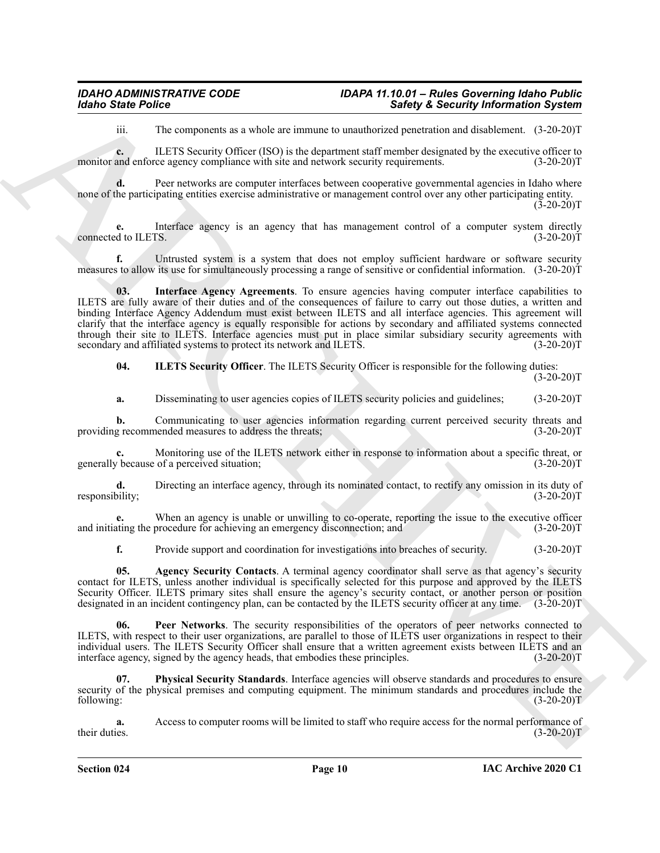iii. The components as a whole are immune to unauthorized penetration and disablement. (3-20-20)T

**c.** ILETS Security Officer (ISO) is the department staff member designated by the executive officer to monitor and enforce agency compliance with site and network security requirements.  $(3-20-20)$ T

**d.** Peer networks are computer interfaces between cooperative governmental agencies in Idaho where none of the participating entities exercise administrative or management control over any other participating entity.  $(3-20-20)$ T

**e.** Interface agency is an agency that has management control of a computer system directly d to ILETS. (3-20-20)T connected to ILETS.

<span id="page-9-2"></span>**f.** Untrusted system is a system that does not employ sufficient hardware or software security measures to allow its use for simultaneously processing a range of sensitive or confidential information. (3-20-20)T

Meno State Police<br>
The magnetic results of the state and the state and the state of the state of the state of the state of the state of the state of the state of the state of the state of the state of the state of the sta **03. Interface Agency Agreements**. To ensure agencies having computer interface capabilities to ILETS are fully aware of their duties and of the consequences of failure to carry out those duties, a written and binding Interface Agency Addendum must exist between ILETS and all interface agencies. This agreement will clarify that the interface agency is equally responsible for actions by secondary and affiliated systems connected through their site to ILETS. Interface agencies must put in place similar subsidiary security agreements with secondary and affiliated systems to protect its network and ILETS.  $(3-20-20)$ T

<span id="page-9-1"></span>**04. ILETS Security Officer**. The ILETS Security Officer is responsible for the following duties:

 $(3-20-20)T$ 

**a.** Disseminating to user agencies copies of ILETS security policies and guidelines; (3-20-20)T

**b.** Communicating to user agencies information regarding current perceived security threats and g recommended measures to address the threats; (3-20-20) providing recommended measures to address the threats;

**c.** Monitoring use of the ILETS network either in response to information about a specific threat, or because of a perceived situation; (3-20-20) generally because of a perceived situation;

**d.** Directing an interface agency, through its nominated contact, to rectify any omission in its duty of oility;<br>(3-20-20) responsibility;

**e.** When an agency is unable or unwilling to co-operate, reporting the issue to the executive officer and initiating the procedure for achieving an emergency disconnection; and (3-20-20)T

<span id="page-9-3"></span><span id="page-9-0"></span>**f.** Provide support and coordination for investigations into breaches of security. (3-20-20)

**05.** Agency Security Contacts. A terminal agency coordinator shall serve as that agency's security contact for ILETS, unless another individual is specifically selected for this purpose and approved by the ILETS Security Officer. ILETS primary sites shall ensure the agency's security contact, or another person or position designated in an incident contingency plan, can be contacted by the ILETS security officer at any time. (3-20-20)T

**06. Peer Networks**. The security responsibilities of the operators of peer networks connected to ILETS, with respect to their user organizations, are parallel to those of ILETS user organizations in respect to their individual users. The ILETS Security Officer shall ensure that a written agreement exists between ILETS and an interface agency, signed by the agency heads, that embodies these principles. (3-20-20) interface agency, signed by the agency heads, that embodies these principles.

<span id="page-9-4"></span>**Physical Security Standards**. Interface agencies will observe standards and procedures to ensure security of the physical premises and computing equipment. The minimum standards and procedures include the following: (3-20-20)T

**a.** Access to computer rooms will be limited to staff who require access for the normal performance of their duties. (3-20-20)T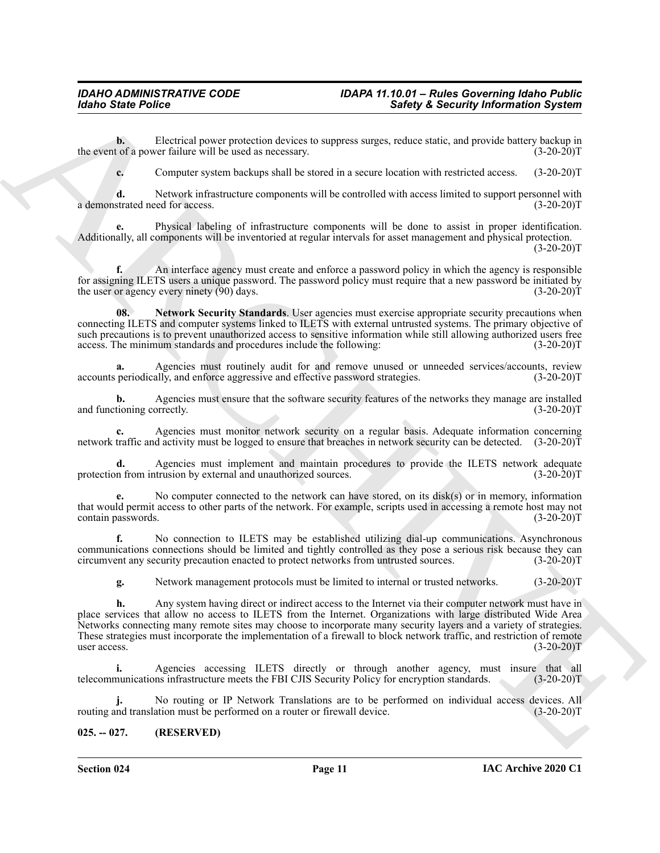**b.** Electrical power protection devices to suppress surges, reduce static, and provide battery backup in the event of a power failure will be used as necessary. (3-20-20)T

**c.** Computer system backups shall be stored in a secure location with restricted access. (3-20-20)T

**d.** Network infrastructure components will be controlled with access limited to support personnel with strated need for access. (3-20-20) a demonstrated need for access.

**e.** Physical labeling of infrastructure components will be done to assist in proper identification. Additionally, all components will be inventoried at regular intervals for asset management and physical protection.

 $(3-20-20)T$ 

**f.** An interface agency must create and enforce a password policy in which the agency is responsible for assigning ILETS users a unique password. The password policy must require that a new password be initiated by the user or agency every ninety (90) days. (3-20-20) the user or agency every ninety  $(90)$  days.

<span id="page-10-1"></span>**Network Security Standards**. User agencies must exercise appropriate security precautions when connecting ILETS and computer systems linked to ILETS with external untrusted systems. The primary objective of such precautions is to prevent unauthorized access to sensitive information while still allowing authorized users free access. The minimum standards and procedures include the following: (3-20-20)T

**a.** Agencies must routinely audit for and remove unused or unneeded services/accounts, review accounts periodically, and enforce aggressive and effective password strategies. (3-20-20)T

**b.** Agencies must ensure that the software security features of the networks they manage are installed and functioning correctly. (3-20-20)T

**c.** Agencies must monitor network security on a regular basis. Adequate information concerning network traffic and activity must be logged to ensure that breaches in network security can be detected. (3-20-20)T

**d.** Agencies must implement and maintain procedures to provide the ILETS network adequate protection from intrusion by external and unauthorized sources. (3-20-20)T

**e.** No computer connected to the network can have stored, on its disk(s) or in memory, information that would permit access to other parts of the network. For example, scripts used in accessing a remote host may not contain passwords. (3-20-20) contain passwords.

**f.** No connection to ILETS may be established utilizing dial-up communications. Asynchronous communications connections should be limited and tightly controlled as they pose a serious risk because they can<br>circumvent any security precaution enacted to protect networks from untrusted sources. (3-20-20)T circumvent any security precaution enacted to protect networks from untrusted sources.

**g.** Network management protocols must be limited to internal or trusted networks. (3-20-20)T

Morino State Police<br>
Electric poster transformation is stated as forest and the state of the state of the state of the state of the state of the state of the state of the state of the state of the state of the state of th **h.** Any system having direct or indirect access to the Internet via their computer network must have in place services that allow no access to ILETS from the Internet. Organizations with large distributed Wide Area Networks connecting many remote sites may choose to incorporate many security layers and a variety of strategies. These strategies must incorporate the implementation of a firewall to block network traffic, and restriction of remote user access. (3-20-20) user access.  $(3-20-20)T$ 

**i.** Agencies accessing ILETS directly or through another agency, must insure that all telecommunications infrastructure meets the FBI CJIS Security Policy for encryption standards. (3-20-20)T

No routing or IP Network Translations are to be performed on individual access devices. All ation must be performed on a router or firewall device. (3-20-20)<sup>T</sup> routing and translation must be performed on a router or firewall device.

#### <span id="page-10-0"></span>**025. -- 027. (RESERVED)**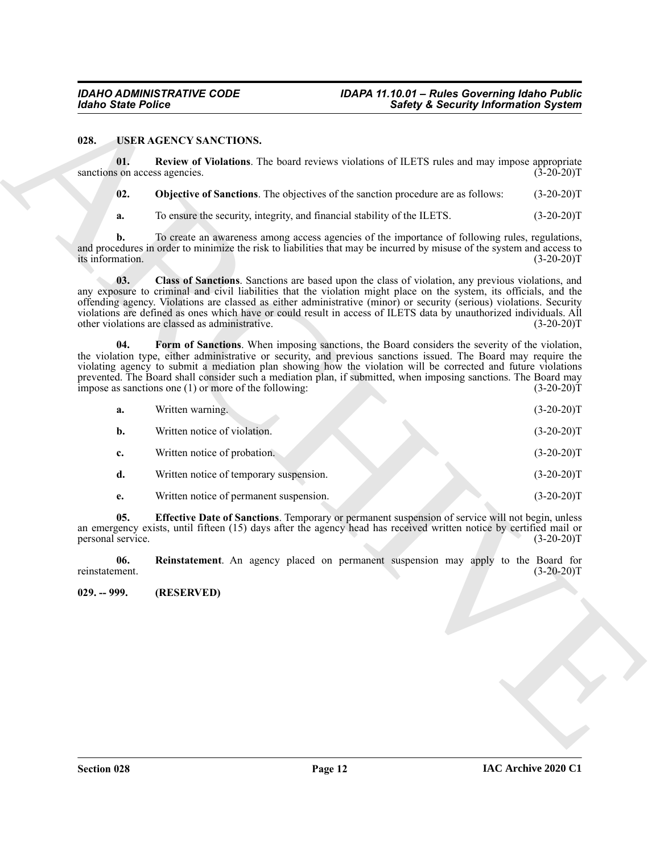#### <span id="page-11-8"></span><span id="page-11-7"></span><span id="page-11-6"></span><span id="page-11-5"></span><span id="page-11-4"></span><span id="page-11-3"></span><span id="page-11-2"></span><span id="page-11-1"></span><span id="page-11-0"></span>**028. USER AGENCY SANCTIONS.**

| <b>Idaho State Police</b>            |                                                                                                                                                                                                                                                                                                                                                                                                                                                                                                                           | <b>Safety &amp; Security Information System</b> |  |
|--------------------------------------|---------------------------------------------------------------------------------------------------------------------------------------------------------------------------------------------------------------------------------------------------------------------------------------------------------------------------------------------------------------------------------------------------------------------------------------------------------------------------------------------------------------------------|-------------------------------------------------|--|
| 028.                                 | USER AGENCY SANCTIONS.                                                                                                                                                                                                                                                                                                                                                                                                                                                                                                    |                                                 |  |
| 01.<br>sanctions on access agencies. | Review of Violations. The board reviews violations of ILETS rules and may impose appropriate                                                                                                                                                                                                                                                                                                                                                                                                                              | $(3-20-20)T$                                    |  |
| 02.                                  | Objective of Sanctions. The objectives of the sanction procedure are as follows:                                                                                                                                                                                                                                                                                                                                                                                                                                          | $(3-20-20)T$                                    |  |
| a.                                   | To ensure the security, integrity, and financial stability of the ILETS.                                                                                                                                                                                                                                                                                                                                                                                                                                                  | $(3-20-20)T$                                    |  |
| b.<br>its information.               | To create an awareness among access agencies of the importance of following rules, regulations,<br>and procedures in order to minimize the risk to liabilities that may be incurred by misuse of the system and access to                                                                                                                                                                                                                                                                                                 | $(3-20-20)T$                                    |  |
| 03.                                  | Class of Sanctions. Sanctions are based upon the class of violation, any previous violations, and<br>any exposure to criminal and civil liabilities that the violation might place on the system, its officials, and the<br>offending agency. Violations are classed as either administrative (minor) or security (serious) violations. Security<br>violations are defined as ones which have or could result in access of ILETS data by unauthorized individuals. All<br>other violations are classed as administrative. | $(3-20-20)T$                                    |  |
| 04.                                  | Form of Sanctions. When imposing sanctions, the Board considers the severity of the violation,<br>the violation type, either administrative or security, and previous sanctions issued. The Board may require the<br>violating agency to submit a mediation plan showing how the violation will be corrected and future violations<br>prevented. The Board shall consider such a mediation plan, if submitted, when imposing sanctions. The Board may<br>impose as sanctions one $(1)$ or more of the following:          | $(3-20-20)T$                                    |  |
| a.                                   | Written warning.                                                                                                                                                                                                                                                                                                                                                                                                                                                                                                          | $(3-20-20)T$                                    |  |
| $\mathbf{b}$ .                       | Written notice of violation.                                                                                                                                                                                                                                                                                                                                                                                                                                                                                              | $(3-20-20)T$                                    |  |
| c.                                   | Written notice of probation.                                                                                                                                                                                                                                                                                                                                                                                                                                                                                              | $(3-20-20)T$                                    |  |
| d.                                   | Written notice of temporary suspension.                                                                                                                                                                                                                                                                                                                                                                                                                                                                                   | $(3-20-20)T$                                    |  |
| e.                                   | Written notice of permanent suspension.                                                                                                                                                                                                                                                                                                                                                                                                                                                                                   | $(3-20-20)T$                                    |  |
| 05.<br>personal service.             | Effective Date of Sanctions. Temporary or permanent suspension of service will not begin, unless<br>an emergency exists, until fifteen (15) days after the agency head has received written notice by certified mail or                                                                                                                                                                                                                                                                                                   | $(3-20-20)T$                                    |  |
| 06.<br>reinstatement.                | Reinstatement. An agency placed on permanent suspension may apply to the Board for                                                                                                                                                                                                                                                                                                                                                                                                                                        | $(3-20-20)T$                                    |  |
| $029. - 999.$                        | (RESERVED)                                                                                                                                                                                                                                                                                                                                                                                                                                                                                                                |                                                 |  |
|                                      |                                                                                                                                                                                                                                                                                                                                                                                                                                                                                                                           |                                                 |  |
|                                      |                                                                                                                                                                                                                                                                                                                                                                                                                                                                                                                           |                                                 |  |
|                                      |                                                                                                                                                                                                                                                                                                                                                                                                                                                                                                                           |                                                 |  |
|                                      |                                                                                                                                                                                                                                                                                                                                                                                                                                                                                                                           |                                                 |  |
|                                      |                                                                                                                                                                                                                                                                                                                                                                                                                                                                                                                           |                                                 |  |
|                                      |                                                                                                                                                                                                                                                                                                                                                                                                                                                                                                                           |                                                 |  |